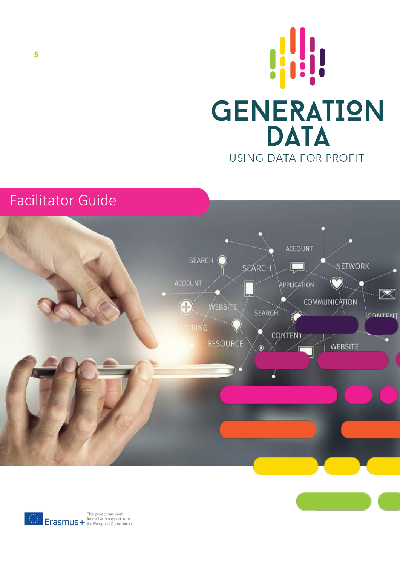





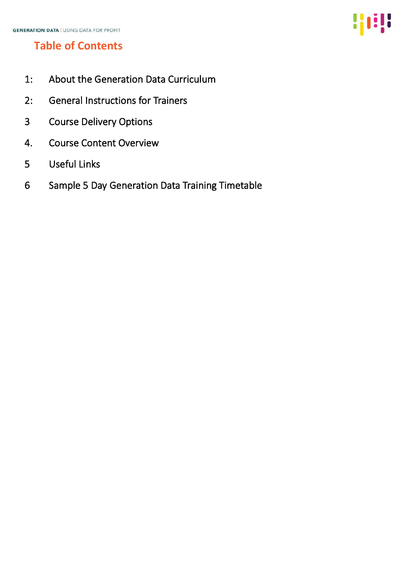# **Table of Contents**

- 1: About the Generation Data Curriculum
- 2: General Instructions for Trainers
- 3 Course Delivery Options
- 4. Course Content Overview
- 5 Useful Links
- 6 Sample 5 Day Generation Data Training Timetable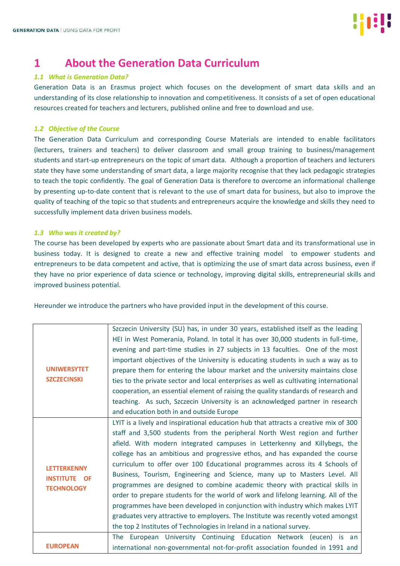

## **1 About the Generation Data Curriculum**

#### *1.1 What is Generation Data?*

Generation Data is an Erasmus project which focuses on the development of smart data skills and an understanding of its close relationship to innovation and competitiveness. It consists of a set of open educational resources created for teachers and lecturers, published online and free to download and use.

## *1.2 Objective of the Course*

The Generation Data Curriculum and corresponding Course Materials are intended to enable facilitators (lecturers, trainers and teachers) to deliver classroom and small group training to business/management students and start-up entrepreneurs on the topic of smart data. Although a proportion of teachers and lecturers state they have some understanding of smart data, a large majority recognise that they lack pedagogic strategies to teach the topic confidently. The goal of Generation Data is therefore to overcome an informational challenge by presenting up-to-date content that is relevant to the use of smart data for business, but also to improve the quality of teaching of the topic so that students and entrepreneurs acquire the knowledge and skills they need to successfully implement data driven business models.

#### *1.3 Who was it created by?*

The course has been developed by experts who are passionate about Smart data and its transformational use in business today. It is designed to create a new and effective training model to empower students and entrepreneurs to be data competent and active, that is optimizing the use of smart data across business, even if they have no prior experience of data science or technology, improving digital skills, entrepreneurial skills and improved business potential.

Hereunder we introduce the partners who have provided input in the development of this course.

|                                          | Szczecin University (SU) has, in under 30 years, established itself as the leading    |
|------------------------------------------|---------------------------------------------------------------------------------------|
|                                          | HEI in West Pomerania, Poland. In total it has over 30,000 students in full-time,     |
|                                          | evening and part-time studies in 27 subjects in 13 faculties. One of the most         |
|                                          | important objectives of the University is educating students in such a way as to      |
| <b>UNIWERSYTET</b>                       | prepare them for entering the labour market and the university maintains close        |
| <b>SZCZECINSKI</b>                       | ties to the private sector and local enterprises as well as cultivating international |
|                                          | cooperation, an essential element of raising the quality standards of research and    |
|                                          | teaching. As such, Szczecin University is an acknowledged partner in research         |
|                                          | and education both in and outside Europe                                              |
|                                          | LYIT is a lively and inspirational education hub that attracts a creative mix of 300  |
|                                          | staff and 3,500 students from the peripheral North West region and further            |
|                                          | afield. With modern integrated campuses in Letterkenny and Killybegs, the             |
|                                          | college has an ambitious and progressive ethos, and has expanded the course           |
| <b>LETTERKENNY</b>                       | curriculum to offer over 100 Educational programmes across its 4 Schools of           |
| <b>INSTITUTE OF</b><br><b>TECHNOLOGY</b> | Business, Tourism, Engineering and Science, many up to Masters Level. All             |
|                                          | programmes are designed to combine academic theory with practical skills in           |
|                                          | order to prepare students for the world of work and lifelong learning. All of the     |
|                                          | programmes have been developed in conjunction with industry which makes LYIT          |
|                                          | graduates very attractive to employers. The Institute was recently voted amongst      |
|                                          | the top 2 Institutes of Technologies in Ireland in a national survey.                 |
|                                          | The European University Continuing Education Network (eucen) is an                    |
| <b>EUROPEAN</b>                          | international non-governmental not-for-profit association founded in 1991 and         |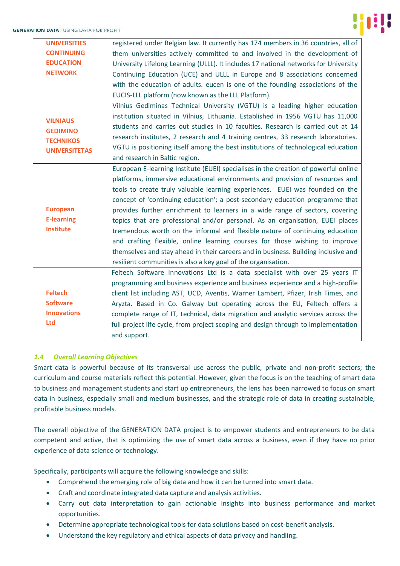

| <b>UNIVERSITIES</b>  | registered under Belgian law. It currently has 174 members in 36 countries, all of   |
|----------------------|--------------------------------------------------------------------------------------|
| <b>CONTINUING</b>    | them universities actively committed to and involved in the development of           |
| <b>EDUCATION</b>     | University Lifelong Learning (ULLL). It includes 17 national networks for University |
| <b>NETWORK</b>       | Continuing Education (UCE) and ULLL in Europe and 8 associations concerned           |
|                      | with the education of adults. eucen is one of the founding associations of the       |
|                      | EUCIS-LLL platform (now known as the LLL Platform).                                  |
|                      | Vilnius Gediminas Technical University (VGTU) is a leading higher education          |
| <b>VILNIAUS</b>      | institution situated in Vilnius, Lithuania. Established in 1956 VGTU has 11,000      |
| <b>GEDIMINO</b>      | students and carries out studies in 10 faculties. Research is carried out at 14      |
| <b>TECHNIKOS</b>     | research institutes, 2 research and 4 training centres, 33 research laboratories.    |
| <b>UNIVERSITETAS</b> | VGTU is positioning itself among the best institutions of technological education    |
|                      | and research in Baltic region.                                                       |
|                      | European E-learning Institute (EUEI) specialises in the creation of powerful online  |
|                      | platforms, immersive educational environments and provision of resources and         |
|                      | tools to create truly valuable learning experiences. EUEI was founded on the         |
|                      | concept of 'continuing education'; a post-secondary education programme that         |
| <b>European</b>      | provides further enrichment to learners in a wide range of sectors, covering         |
| <b>E-learning</b>    | topics that are professional and/or personal. As an organisation, EUEI places        |
| <b>Institute</b>     | tremendous worth on the informal and flexible nature of continuing education         |
|                      | and crafting flexible, online learning courses for those wishing to improve          |
|                      | themselves and stay ahead in their careers and in business. Building inclusive and   |
|                      | resilient communities is also a key goal of the organisation.                        |
|                      | Feltech Software Innovations Ltd is a data specialist with over 25 years IT          |
|                      | programming and business experience and business experience and a high-profile       |
| <b>Feltech</b>       | client list including AST, UCD, Aventis, Warner Lambert, Pfizer, Irish Times, and    |
| <b>Software</b>      | Aryzta. Based in Co. Galway but operating across the EU, Feltech offers a            |
| <b>Innovations</b>   | complete range of IT, technical, data migration and analytic services across the     |
| <b>Ltd</b>           | full project life cycle, from project scoping and design through to implementation   |
|                      | and support.                                                                         |
|                      |                                                                                      |

## *1.4 Overall Learning Objectives*

Smart data is powerful because of its transversal use across the public, private and non-profit sectors; the curriculum and course materials reflect this potential. However, given the focus is on the teaching of smart data to business and management students and start up entrepreneurs, the lens has been narrowed to focus on smart data in business, especially small and medium businesses, and the strategic role of data in creating sustainable, profitable business models.

The overall objective of the GENERATION DATA project is to empower students and entrepreneurs to be data competent and active, that is optimizing the use of smart data across a business, even if they have no prior experience of data science or technology.

Specifically, participants will acquire the following knowledge and skills:

- Comprehend the emerging role of big data and how it can be turned into smart data.
- Craft and coordinate integrated data capture and analysis activities.
- Carry out data interpretation to gain actionable insights into business performance and market opportunities.
- Determine appropriate technological tools for data solutions based on cost-benefit analysis.
- Understand the key regulatory and ethical aspects of data privacy and handling.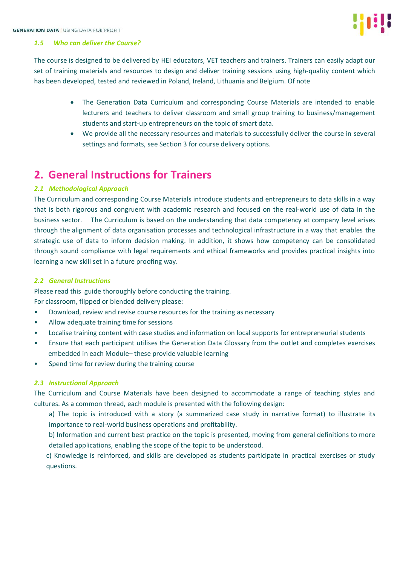

#### *1.5 Who can deliver the Course?*

The course is designed to be delivered by HEI educators, VET teachers and trainers. Trainers can easily adapt our set of training materials and resources to design and deliver training sessions using high-quality content which has been developed, tested and reviewed in Poland, Ireland, Lithuania and Belgium. Of note

- The Generation Data Curriculum and corresponding Course Materials are intended to enable lecturers and teachers to deliver classroom and small group training to business/management students and start-up entrepreneurs on the topic of smart data.
- We provide all the necessary resources and materials to successfully deliver the course in several settings and formats, see Section 3 for course delivery options.

## **2. General Instructions for Trainers**

## *2.1 Methodological Approach*

The Curriculum and corresponding Course Materials introduce students and entrepreneurs to data skills in a way that is both rigorous and congruent with academic research and focused on the real-world use of data in the business sector. The Curriculum is based on the understanding that data competency at company level arises through the alignment of data organisation processes and technological infrastructure in a way that enables the strategic use of data to inform decision making. In addition, it shows how competency can be consolidated through sound compliance with legal requirements and ethical frameworks and provides practical insights into learning a new skill set in a future proofing way.

## *2.2 General Instructions*

Please read this guide thoroughly before conducting the training. For classroom, flipped or blended delivery please:

- Download, review and revise course resources for the training as necessary
- Allow adequate training time for sessions
- Localise training content with case studies and information on local supports for entrepreneurial students
- Ensure that each participant utilises the Generation Data Glossary from the outlet and completes exercises embedded in each Module– these provide valuable learning
- Spend time for review during the training course

## *2.3 Instructional Approach*

The Curriculum and Course Materials have been designed to accommodate a range of teaching styles and cultures. As a common thread, each module is presented with the following design:

a) The topic is introduced with a story (a summarized case study in narrative format) to illustrate its importance to real-world business operations and profitability.

b) Information and current best practice on the topic is presented, moving from general definitions to more detailed applications, enabling the scope of the topic to be understood.

c) Knowledge is reinforced, and skills are developed as students participate in practical exercises or study questions.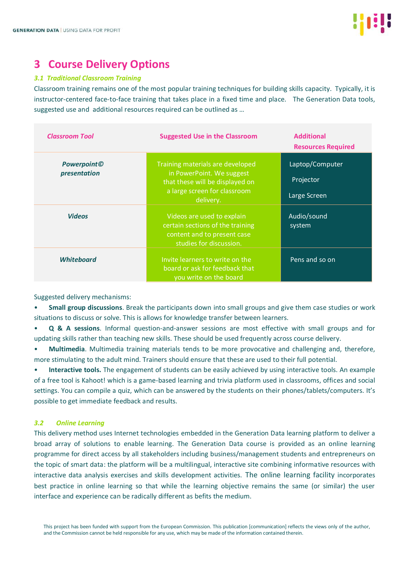

## **3 Course Delivery Options**

## *3.1 Traditional Classroom Training*

Classroom training remains one of the most popular training techniques for building skills capacity. Typically, it is instructor-centered face-to-face training that takes place in a fixed time and place. The Generation Data tools, suggested use and additional resources required can be outlined as …

| <b>Classroom Tool</b>               | <b>Suggested Use in the Classroom</b>                                                                                                         | <b>Additional</b><br><b>Resources Required</b> |
|-------------------------------------|-----------------------------------------------------------------------------------------------------------------------------------------------|------------------------------------------------|
| <b>Powerpoint</b> ©<br>presentation | Training materials are developed<br>in PowerPoint. We suggest<br>that these will be displayed on<br>a large screen for classroom<br>delivery. | Laptop/Computer<br>Projector<br>Large Screen   |
| <b>Videos</b>                       | Videos are used to explain<br>certain sections of the training<br>content and to present case<br>studies for discussion.                      | Audio/sound<br>system                          |
| <b>Whiteboard</b>                   | Invite learners to write on the<br>board or ask for feedback that<br>you write on the board                                                   | Pens and so on                                 |

Suggested delivery mechanisms:

• **Small group discussions**. Break the participants down into small groups and give them case studies or work situations to discuss or solve. This is allows for knowledge transfer between learners.

• **Q & A sessions**. Informal question-and-answer sessions are most effective with small groups and for updating skills rather than teaching new skills. These should be used frequently across course delivery.

• **Multimedia**. Multimedia training materials tends to be more provocative and challenging and, therefore, more stimulating to the adult mind. Trainers should ensure that these are used to their full potential.

• **Interactive tools.** The engagement of students can be easily achieved by using interactive tools. An example of a free tool is Kahoot! which is a game-based learning and trivia platform used in classrooms, offices and social settings. You can compile a quiz, which can be answered by the students on their phones/tablets/computers. It's possible to get immediate feedback and results.

## *3.2 Online Learning*

This delivery method uses Internet technologies embedded in the Generation Data learning platform to deliver a broad array of solutions to enable learning. The Generation Data course is provided as an online learning programme for direct access by all stakeholders including business/management students and entrepreneurs on the topic of smart data: the platform will be a multilingual, interactive site combining informative resources with interactive data analysis exercises and skills development activities. The online learning facility incorporates best practice in online learning so that while the learning objective remains the same (or similar) the user interface and experience can be radically different as befits the medium.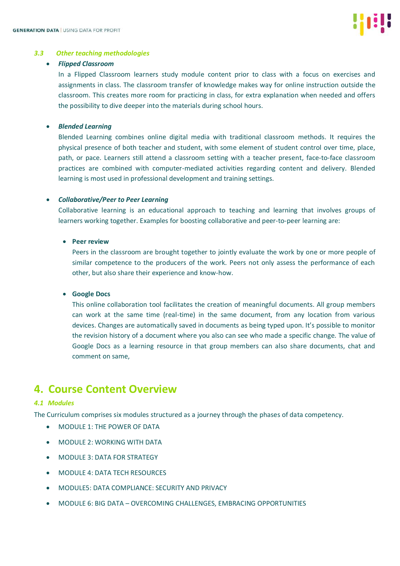

#### *3.3 Other teaching methodologies*

#### • *Flipped Classroom*

In a Flipped Classroom learners study module content prior to class with a focus on exercises and assignments in class. The classroom transfer of knowledge makes way for online instruction outside the classroom. This creates more room for practicing in class, for extra explanation when needed and offers the possibility to dive deeper into the materials during school hours.

## • *Blended Learning*

Blended Learning combines online digital media with traditional classroom methods. It requires the physical presence of both teacher and student, with some element of student control over time, place, path, or pace. Learners still attend a classroom setting with a teacher present, face-to-face classroom practices are combined with computer-mediated activities regarding content and delivery. Blended learning is most used in professional development and training settings.

## • *Collaborative/Peer to Peer Learning*

Collaborative learning is an educational approach to teaching and learning that involves groups of learners working together. Examples for boosting collaborative and peer-to-peer learning are:

## • **Peer review**

Peers in the classroom are brought together to jointly evaluate the work by one or more people of similar competence to the producers of the work. Peers not only assess the performance of each other, but also share their experience and know-how.

## • **Google Docs**

This online collaboration tool facilitates the creation of meaningful documents. All group members can work at the same time (real-time) in the same document, from any location from various devices. Changes are automatically saved in documents as being typed upon. It's possible to monitor the revision history of a document where you also can see who made a specific change. The value of Google Docs as a learning resource in that group members can also share documents, chat and comment on same,

## **4. Course Content Overview**

## *4.1 Modules*

The Curriculum comprises six modules structured as a journey through the phases of data competency.

- MODULE 1: THE POWER OF DATA
- MODULE 2: WORKING WITH DATA
- MODULE 3: DATA FOR STRATEGY
- MODULE 4: DATA TECH RESOURCES
- MODULE5: DATA COMPLIANCE: SECURITY AND PRIVACY
- MODULE 6: BIG DATA OVERCOMING CHALLENGES, EMBRACING OPPORTUNITIES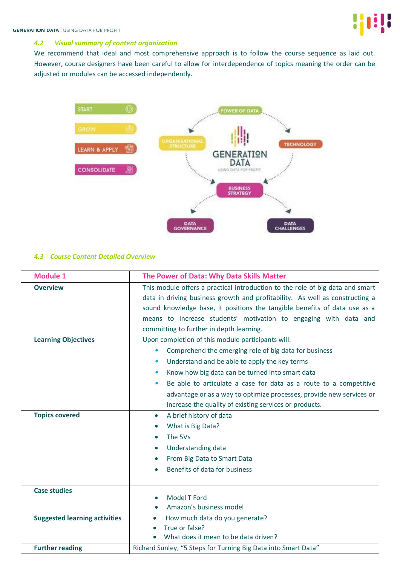## *4.2 Visual summary of content organization*

We recommend that ideal and most comprehensive approach is to follow the course sequence as laid out. However, course designers have been careful to allow for interdependence of topics meaning the order can be adjusted or modules can be accessed independently.



#### *4.3 Course Content Detailed Overview*

| <b>Module 1</b>                      | The Power of Data: Why Data Skills Matter                                                                                                                                                                                                                                                                                                                                                                                                                                 |
|--------------------------------------|---------------------------------------------------------------------------------------------------------------------------------------------------------------------------------------------------------------------------------------------------------------------------------------------------------------------------------------------------------------------------------------------------------------------------------------------------------------------------|
| <b>Overview</b>                      | This module offers a practical introduction to the role of big data and smart<br>data in driving business growth and profitability. As well as constructing a<br>sound knowledge base, it positions the tangible benefits of data use as a<br>means to increase students' motivation to engaging with data and<br>committing to further in depth learning.                                                                                                                |
| <b>Learning Objectives</b>           | Upon completion of this module participants will:<br>Comprehend the emerging role of big data for business<br>$\bullet$<br>Understand and be able to apply the key terms<br>$\bullet$<br>Know how big data can be turned into smart data<br>$\bullet$<br>Be able to articulate a case for data as a route to a competitive<br>$\bullet$<br>advantage or as a way to optimize processes, provide new services or<br>increase the quality of existing services or products. |
| <b>Topics covered</b>                | A brief history of data<br>$\bullet$<br>What is Big Data?<br>$\bullet$<br>The 5Vs<br>$\bullet$<br>Understanding data<br>$\bullet$<br>From Big Data to Smart Data<br>$\bullet$<br>Benefits of data for business                                                                                                                                                                                                                                                            |
| <b>Case studies</b>                  | Model T Ford<br>$\bullet$<br>Amazon's business model                                                                                                                                                                                                                                                                                                                                                                                                                      |
| <b>Suggested learning activities</b> | How much data do you generate?<br>$\bullet$<br>True or false?<br>What does it mean to be data driven?                                                                                                                                                                                                                                                                                                                                                                     |
| <b>Further reading</b>               | Richard Sunley, "5 Steps for Turning Big Data into Smart Data"                                                                                                                                                                                                                                                                                                                                                                                                            |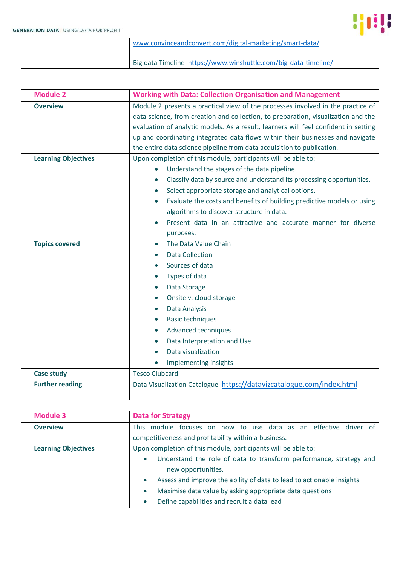$\overline{\phantom{a}}$ 



| www.convinceandconvert.com/digital-marketing/smart-data/        |
|-----------------------------------------------------------------|
| Big data Timeline https://www.winshuttle.com/big-data-timeline/ |

| <b>Module 2</b>            | <b>Working with Data: Collection Organisation and Management</b>                    |
|----------------------------|-------------------------------------------------------------------------------------|
| <b>Overview</b>            | Module 2 presents a practical view of the processes involved in the practice of     |
|                            | data science, from creation and collection, to preparation, visualization and the   |
|                            | evaluation of analytic models. As a result, learners will feel confident in setting |
|                            | up and coordinating integrated data flows within their businesses and navigate      |
|                            | the entire data science pipeline from data acquisition to publication.              |
| <b>Learning Objectives</b> | Upon completion of this module, participants will be able to:                       |
|                            | Understand the stages of the data pipeline.                                         |
|                            | Classify data by source and understand its processing opportunities.<br>$\bullet$   |
|                            | Select appropriate storage and analytical options.<br>$\bullet$                     |
|                            | Evaluate the costs and benefits of building predictive models or using              |
|                            | algorithms to discover structure in data.                                           |
|                            | Present data in an attractive and accurate manner for diverse                       |
|                            | purposes.                                                                           |
| <b>Topics covered</b>      | The Data Value Chain<br>$\bullet$                                                   |
|                            | <b>Data Collection</b>                                                              |
|                            | Sources of data                                                                     |
|                            | Types of data                                                                       |
|                            | Data Storage<br>$\bullet$                                                           |
|                            | Onsite v. cloud storage                                                             |
|                            | Data Analysis<br>$\bullet$                                                          |
|                            | <b>Basic techniques</b><br>$\bullet$                                                |
|                            | Advanced techniques                                                                 |
|                            | Data Interpretation and Use                                                         |
|                            | Data visualization                                                                  |
|                            | Implementing insights                                                               |
| <b>Case study</b>          | <b>Tesco Clubcard</b>                                                               |
| <b>Further reading</b>     | Data Visualization Catalogue https://datavizcatalogue.com/index.html                |
|                            |                                                                                     |

| <b>Module 3</b>            | <b>Data for Strategy</b>                                                            |
|----------------------------|-------------------------------------------------------------------------------------|
| <b>Overview</b>            | module focuses on how to use data as an effective driver of<br><b>This</b>          |
|                            | competitiveness and profitability within a business.                                |
| <b>Learning Objectives</b> | Upon completion of this module, participants will be able to:                       |
|                            | Understand the role of data to transform performance, strategy and<br>$\bullet$     |
|                            | new opportunities.                                                                  |
|                            | Assess and improve the ability of data to lead to actionable insights.<br>$\bullet$ |
|                            | Maximise data value by asking appropriate data questions<br>$\bullet$               |
|                            | Define capabilities and recruit a data lead                                         |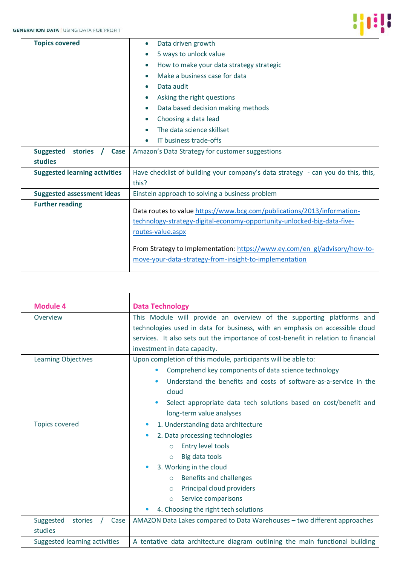

| <b>Topics covered</b>                | Data driven growth<br>$\bullet$                                                                                                                                                                                                                                                                                 |
|--------------------------------------|-----------------------------------------------------------------------------------------------------------------------------------------------------------------------------------------------------------------------------------------------------------------------------------------------------------------|
|                                      | 5 ways to unlock value<br>$\bullet$                                                                                                                                                                                                                                                                             |
|                                      | How to make your data strategy strategic<br>$\bullet$                                                                                                                                                                                                                                                           |
|                                      | Make a business case for data<br>$\bullet$                                                                                                                                                                                                                                                                      |
|                                      | Data audit                                                                                                                                                                                                                                                                                                      |
|                                      | Asking the right questions                                                                                                                                                                                                                                                                                      |
|                                      | Data based decision making methods<br>$\bullet$                                                                                                                                                                                                                                                                 |
|                                      | Choosing a data lead<br>$\bullet$                                                                                                                                                                                                                                                                               |
|                                      | The data science skillset                                                                                                                                                                                                                                                                                       |
|                                      | IT business trade-offs                                                                                                                                                                                                                                                                                          |
| <b>Suggested</b><br>stories<br>Case  | Amazon's Data Strategy for customer suggestions                                                                                                                                                                                                                                                                 |
| studies                              |                                                                                                                                                                                                                                                                                                                 |
| <b>Suggested learning activities</b> | Have checklist of building your company's data strategy - can you do this, this,                                                                                                                                                                                                                                |
|                                      | this?                                                                                                                                                                                                                                                                                                           |
| <b>Suggested assessment ideas</b>    | Einstein approach to solving a business problem                                                                                                                                                                                                                                                                 |
| <b>Further reading</b>               | Data routes to value https://www.bcg.com/publications/2013/information-<br>technology-strategy-digital-economy-opportunity-unlocked-big-data-five-<br>routes-value.aspx<br>From Strategy to Implementation: https://www.ey.com/en_gl/advisory/how-to-<br>move-your-data-strategy-from-insight-to-implementation |
|                                      |                                                                                                                                                                                                                                                                                                                 |

| <b>Module 4</b>               | <b>Data Technology</b>                                                             |
|-------------------------------|------------------------------------------------------------------------------------|
| Overview                      | This Module will provide an overview of the supporting platforms and               |
|                               | technologies used in data for business, with an emphasis on accessible cloud       |
|                               | services. It also sets out the importance of cost-benefit in relation to financial |
|                               | investment in data capacity.                                                       |
| <b>Learning Objectives</b>    | Upon completion of this module, participants will be able to:                      |
|                               | Comprehend key components of data science technology<br>$\bullet$                  |
|                               | Understand the benefits and costs of software-as-a-service in the<br>$\bullet$     |
|                               | cloud                                                                              |
|                               | Select appropriate data tech solutions based on cost/benefit and<br>$\bullet$      |
|                               | long-term value analyses                                                           |
| <b>Topics covered</b>         | 1. Understanding data architecture<br>$\bullet$                                    |
|                               | 2. Data processing technologies<br>$\bullet$                                       |
|                               | Entry level tools<br>$\circ$                                                       |
|                               | Big data tools<br>$\circ$                                                          |
|                               | 3. Working in the cloud                                                            |
|                               | Benefits and challenges<br>$\circ$                                                 |
|                               | Principal cloud providers<br>$\circ$                                               |
|                               | Service comparisons<br>$\circ$                                                     |
|                               | 4. Choosing the right tech solutions                                               |
| Suggested<br>stories<br>Case  | AMAZON Data Lakes compared to Data Warehouses - two different approaches           |
| studies                       |                                                                                    |
| Suggested learning activities | A tentative data architecture diagram outlining the main functional building       |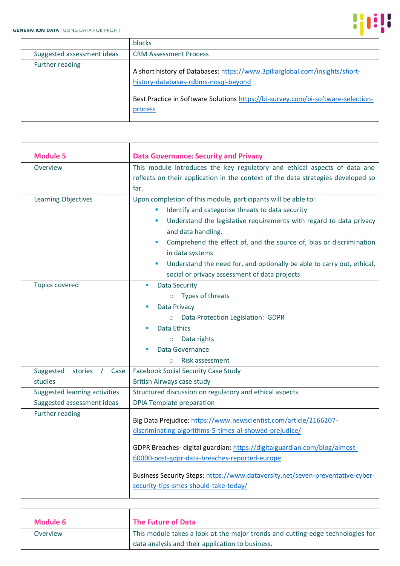

|                            | <b>blocks</b>                                                                                                                                                                                                      |
|----------------------------|--------------------------------------------------------------------------------------------------------------------------------------------------------------------------------------------------------------------|
| Suggested assessment ideas | <b>CRM Assessment Process</b>                                                                                                                                                                                      |
| Further reading            | A short history of Databases: https://www.3pillarglobal.com/insights/short-<br>history-databases-rdbms-nosql-beyond<br>Best Practice in Software Solutions https://bi-survey.com/bi-software-selection-<br>process |

| <b>Module 5</b>                                       | <b>Data Governance: Security and Privacy</b>                                                                                                                                                                                                                                                                                                                                                                                                                                            |
|-------------------------------------------------------|-----------------------------------------------------------------------------------------------------------------------------------------------------------------------------------------------------------------------------------------------------------------------------------------------------------------------------------------------------------------------------------------------------------------------------------------------------------------------------------------|
| Overview                                              | This module introduces the key regulatory and ethical aspects of data and<br>reflects on their application in the context of the data strategies developed so<br>far.                                                                                                                                                                                                                                                                                                                   |
| <b>Learning Objectives</b>                            | Upon completion of this module, participants will be able to:<br>Identify and categorise threats to data security<br>$\bullet$<br>Understand the legislative requirements with regard to data privacy<br>$\bullet$<br>and data handling.<br>Comprehend the effect of, and the source of, bias or discrimination<br>$\bullet$<br>in data systems<br>Understand the need for, and optionally be able to carry out, ethical,<br>$\bullet$<br>social or privacy assessment of data projects |
| <b>Topics covered</b><br>stories<br>Suggested<br>Case | <b>Data Security</b><br>Types of threats<br>$\circ$<br>Data Privacy<br>Data Protection Legislation: GDPR<br>$\circ$<br>Data Ethics<br>Data rights<br>$\circ$<br>Data Governance<br>Risk assessment<br>$\circ$<br><b>Facebook Social Security Case Study</b>                                                                                                                                                                                                                             |
| studies                                               | British Airways case study                                                                                                                                                                                                                                                                                                                                                                                                                                                              |
| Suggested learning activities                         | Structured discussion on regulatory and ethical aspects                                                                                                                                                                                                                                                                                                                                                                                                                                 |
| Suggested assessment ideas                            | <b>DPIA Template preparation</b>                                                                                                                                                                                                                                                                                                                                                                                                                                                        |
| Further reading                                       | Big Data Prejudice: https://www.newscientist.com/article/2166207-<br>discriminating-algorithms-5-times-ai-showed-prejudice/<br>GDPR Breaches- digital guardian: https://digitalguardian.com/blog/almost-<br>60000-post-gdpr-data-breaches-reported-europe<br>Business Security Steps: https://www.dataversity.net/seven-preventative-cyber-<br>security-tips-smes-should-take-today/                                                                                                    |

| <b>Module 6</b> | The Future of Data                                                             |
|-----------------|--------------------------------------------------------------------------------|
| Overview        | This module takes a look at the major trends and cutting-edge technologies for |
|                 | data analysis and their application to business.                               |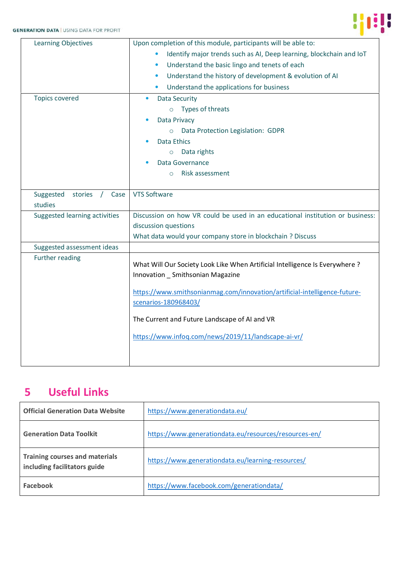

| Upon completion of this module, participants will be able to:                                                     |
|-------------------------------------------------------------------------------------------------------------------|
| Identify major trends such as AI, Deep learning, blockchain and IoT                                               |
| Understand the basic lingo and tenets of each<br>$\bullet$                                                        |
| Understand the history of development & evolution of AI<br>$\bullet$                                              |
| Understand the applications for business                                                                          |
| <b>Data Security</b>                                                                                              |
| Types of threats<br>$\circ$                                                                                       |
| Data Privacy                                                                                                      |
| Data Protection Legislation: GDPR<br>$\circ$                                                                      |
| <b>Data Ethics</b>                                                                                                |
| Data rights<br>$\circ$                                                                                            |
| Data Governance                                                                                                   |
| Risk assessment<br>$\circ$                                                                                        |
|                                                                                                                   |
| <b>VTS Software</b>                                                                                               |
|                                                                                                                   |
| Discussion on how VR could be used in an educational institution or business:                                     |
| discussion questions                                                                                              |
| What data would your company store in blockchain ? Discuss                                                        |
|                                                                                                                   |
| What Will Our Society Look Like When Artificial Intelligence Is Everywhere ?<br>Innovation _ Smithsonian Magazine |
| https://www.smithsonianmag.com/innovation/artificial-intelligence-future-                                         |
| scenarios-180968403/                                                                                              |
| The Current and Future Landscape of AI and VR                                                                     |
| https://www.infoq.com/news/2019/11/landscape-ai-vr/                                                               |
|                                                                                                                   |
|                                                                                                                   |

# **5 Useful Links**

| <b>Official Generation Data Website</b>                               | https://www.generationdata.eu/                        |
|-----------------------------------------------------------------------|-------------------------------------------------------|
| <b>Generation Data Toolkit</b>                                        | https://www.generationdata.eu/resources/resources-en/ |
| <b>Training courses and materials</b><br>including facilitators guide | https://www.generationdata.eu/learning-resources/     |
| <b>Facebook</b>                                                       | https://www.facebook.com/generationdata/              |